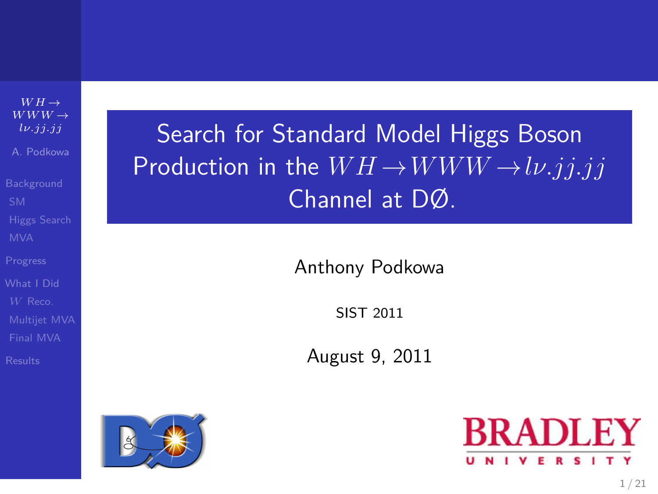$WH \rightarrow$  $WWW \rightarrow$ *[lν.jj.jj](#page-21-0)* A. Podkowa

[Final MVA](#page-16-0)

# Search for Standard Model Higgs Boson Production in the  $WH \rightarrow WWW \rightarrow l\nu. jjjj$ Channel at DØ.

Anthony Podkowa

SIST 2011

August 9, 2011



<span id="page-0-0"></span>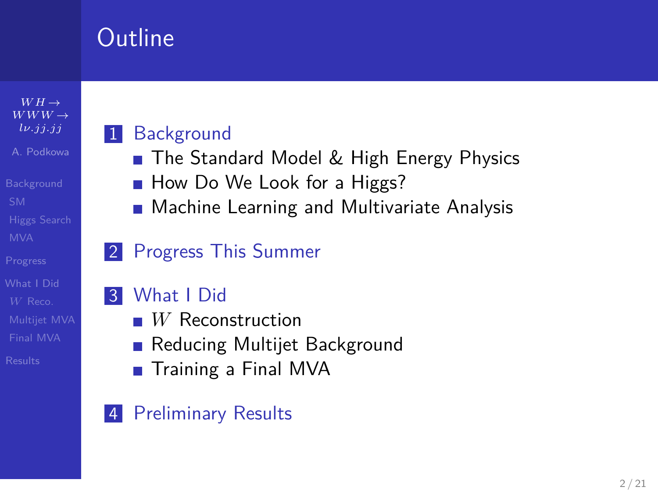# Outline

 $WH \rightarrow$  $WWW \rightarrow$ *[lν.jj.jj](#page-0-0)* A. Podkowa

[Final MVA](#page-16-0)

### 1 [Background](#page-2-0)

- [The Standard Model & High Energy Physics](#page-2-0)
- [How Do We Look for a Higgs?](#page-3-0)
- [Machine Learning and Multivariate Analysis](#page-6-0)

### 2 [Progress This Summer](#page-7-0)

### 3 [What I Did](#page-9-0)

- *W* [Reconstruction](#page-10-0)
- [Reducing Multijet Background](#page-13-0)
- **[Training a Final MVA](#page-16-0)**

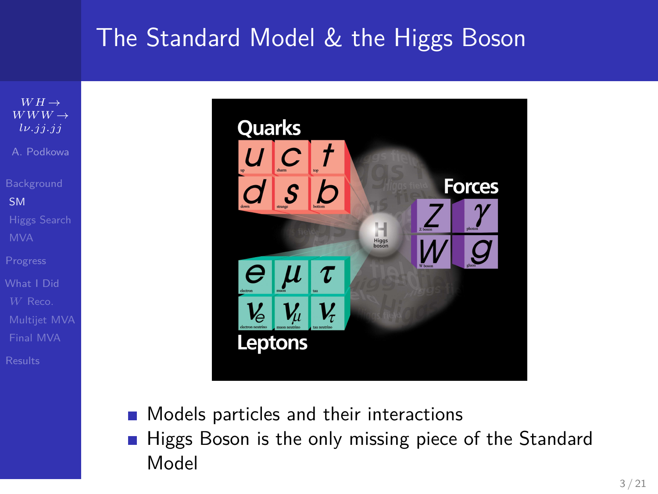## The Standard Model & the Higgs Boson

 $WH \rightarrow$ *WWW* → *[lν.jj.jj](#page-0-0)* A. Podkowa [SM](#page-2-0) [Final MVA](#page-16-0)



- Models particles and their interactions  $\sim 10$
- <span id="page-2-0"></span>Higgs Boson is the only missing piece of the Standard  $\sim$ Model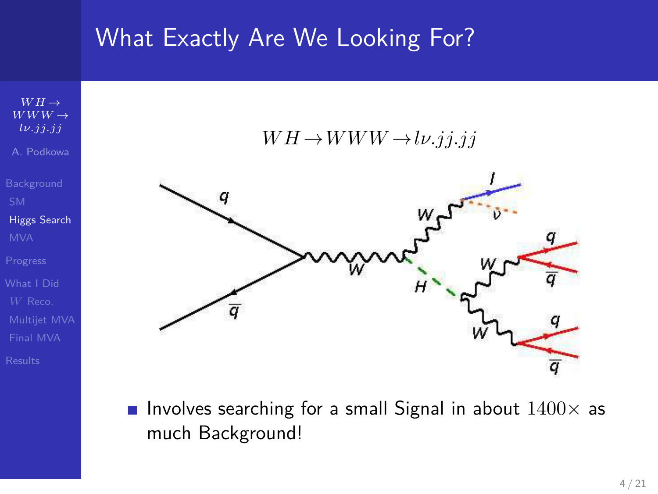## What Exactly Are We Looking For?



<span id="page-3-0"></span>**Involves searching for a small Signal in about**  $1400 \times$  **as** much Background!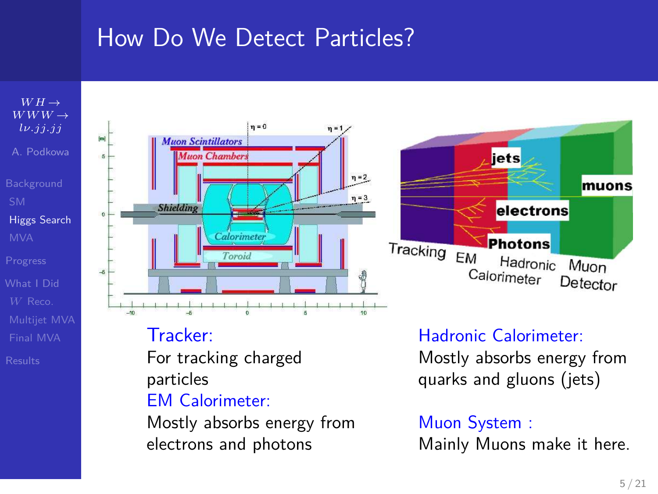## How Do We Detect Particles?



Mostly absorbs energy from electrons and photons

Muon System :

Mainly Muons make it here.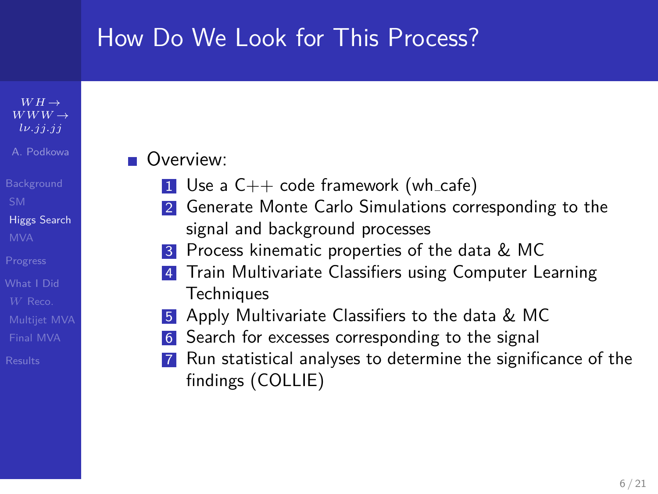## How Do We Look for This Process?

### $WWW \rightarrow$ *[lν.jj.jj](#page-0-0)* A. Podkowa

 $WH \rightarrow$ 

- [Higgs Search](#page-3-0)
- 
- 
- 
- [Final MVA](#page-16-0)
- 

### **Overview:**

- 1 Use a  $C_{++}$  code framework (wh\_cafe)
- 2 Generate Monte Carlo Simulations corresponding to the signal and background processes
- 3 Process kinematic properties of the data & MC
- Train Multivariate Classifiers using Computer Learning **Techniques**
- 5 Apply Multivariate Classifiers to the data & MC
- 6 Search for excesses corresponding to the signal
- Run statistical analyses to determine the significance of the findings (COLLIE)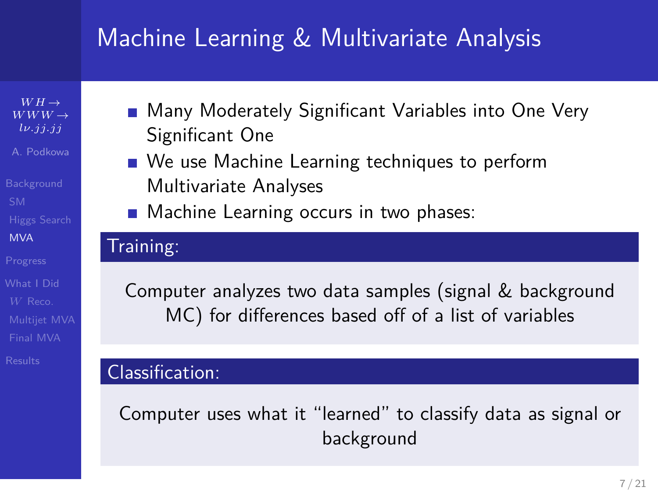# Machine Learning & Multivariate Analysis

 $WH \rightarrow$  $WWW \rightarrow$ *[lν.jj.jj](#page-0-0)* A. Podkowa

[MVA](#page-6-0)

[Final MVA](#page-16-0)

- Many Moderately Significant Variables into One Very Significant One
- We use Machine Learning techniques to perform Multivariate Analyses
- **Machine Learning occurs in two phases:**

### Training:

Computer analyzes two data samples (signal & background MC) for differences based off of a list of variables

### Classification:

<span id="page-6-0"></span>Computer uses what it "learned" to classify data as signal or background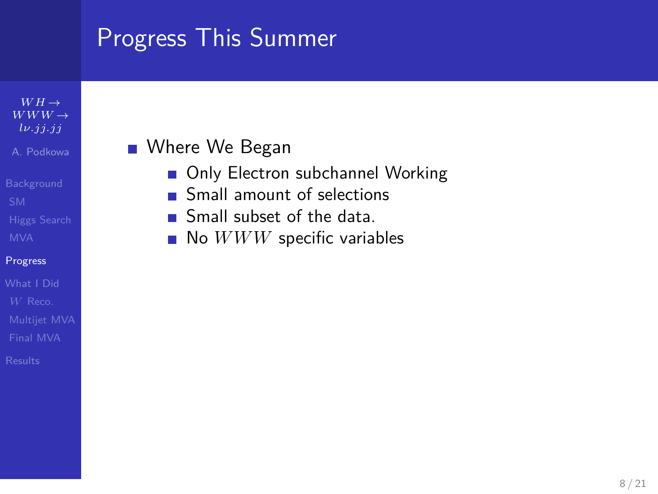## Progress This Summer

#### $WH \rightarrow$  $WWW \rightarrow$ *[lν.jj.jj](#page-0-0)* A. Podkowa

#### [Progress](#page-7-0)

- [Final MVA](#page-16-0)
- 

### ■ Where We Began

- Only Electron subchannel Working
- Small amount of selections
- Small subset of the data. ÷
- <span id="page-7-0"></span>No  $WWW$  specific variables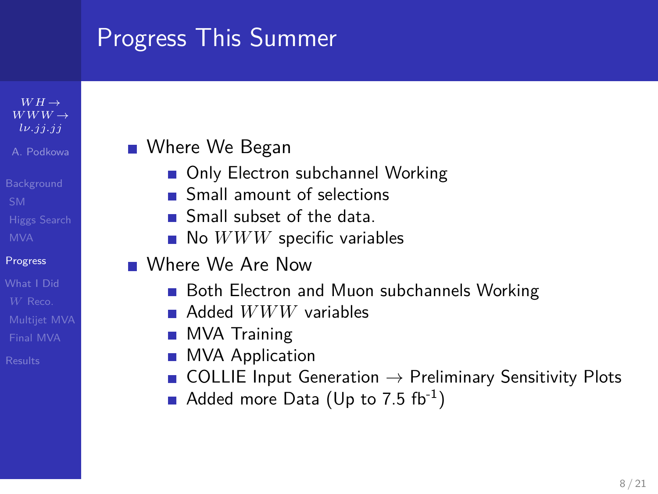# Progress This Summer

#### $WH \rightarrow$  $WWW \rightarrow$ *[lν.jj.jj](#page-0-0)* A. Podkowa

#### [Progress](#page-7-0)

[Final MVA](#page-16-0)

### ■ Where We Began

- Only Electron subchannel Working
- **Small amount of selections**
- Small subset of the data
- $\blacksquare$  No  $WWW$  specific variables
- Where We Are Now
	- Both Electron and Muon subchannels Working
	- Added *WWW* variables
	- **MVA Training**
	- **MVA Application**
	- COLLIE Input Generation  $\rightarrow$  Preliminary Sensitivity Plots
	- Added more Data (Up to 7.5 fb<sup>-1</sup>)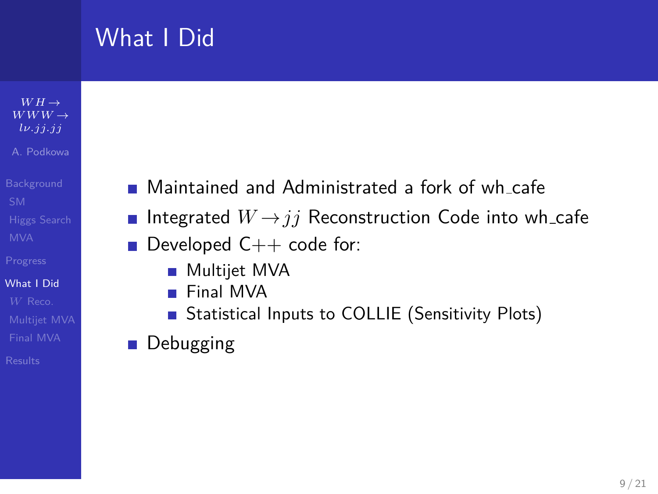# What I Did

#### $WH \rightarrow$  $WWW \rightarrow$ *[lν.jj.jj](#page-0-0)* A. Podkowa

#### [What I Did](#page-9-0)

[Final MVA](#page-16-0)

- Maintained and Administrated a fork of wh cafe
- Integrated  $W \rightarrow i\bar{i}$  Reconstruction Code into wh\_cafe
- Developed  $C++$  code for:  $\mathcal{L}_{\mathcal{A}}$ 
	- **Multijet MVA**
	- **Final MVA**
	- Statistical Inputs to COLLIE (Sensitivity Plots)
- <span id="page-9-0"></span>**Debugging**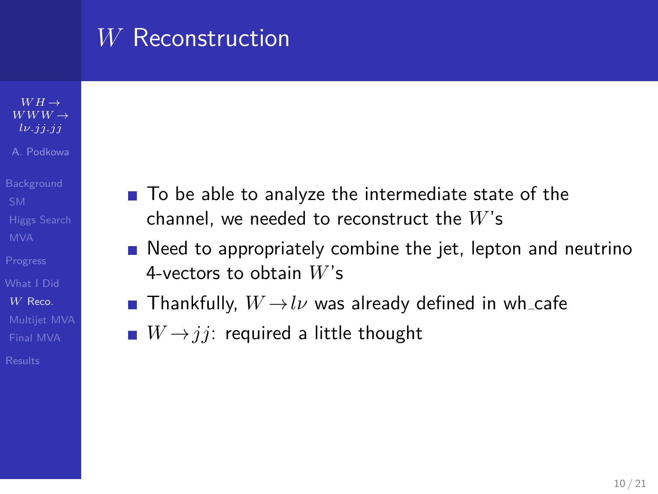## *W* Reconstruction

- $WH \rightarrow$  $WWW \rightarrow$ *[lν.jj.jj](#page-0-0)* A. Podkowa
- 
- *W* [Reco.](#page-10-0)
- [Final MVA](#page-16-0)
- 
- To be able to analyze the intermediate state of the channel, we needed to reconstruct the *W*'s
- $\blacksquare$  Need to appropriately combine the jet, lepton and neutrino 4-vectors to obtain *W*'s
- **Thankfully,**  $W \rightarrow l\nu$  was already defined in wh\_cafe
- <span id="page-10-0"></span> $W \rightarrow j j$ : required a little thought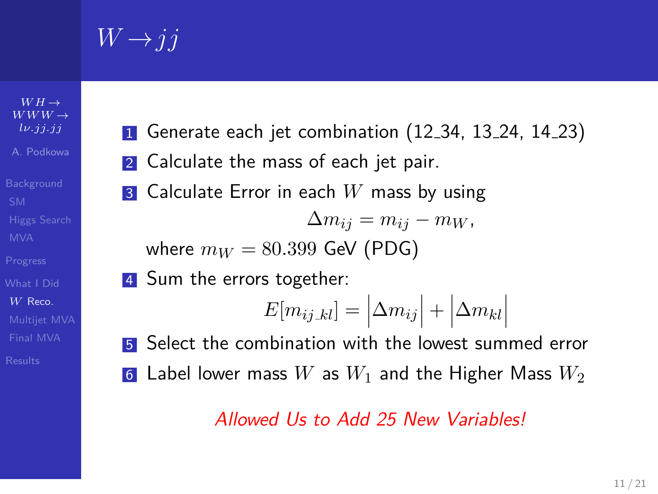$W \rightarrow j j$ 

 $WH \rightarrow$  $WWW \rightarrow$ *[lν.jj.jj](#page-0-0)* A. Podkowa

*W* [Reco.](#page-10-0)

[Final MVA](#page-16-0)

- <sup>1</sup> Generate each jet combination (12.34, 13.24, 14.23)
- 2 Calculate the mass of each jet pair.
- **3** Calculate Error in each W mass by using

$$
\Delta m_{ij} = m_{ij} - m_W,
$$

where 
$$
m_W = 80.399
$$
 GeV (PDG)

4 Sum the errors together:

$$
E[m_{ij\_kl}] = |\Delta m_{ij}| + |\Delta m_{kl}|
$$

5 Select the combination with the lowest summed error 6 Label lower mass  $W$  as  $W_1$  and the Higher Mass  $W_2$ 

### Allowed Us to Add 25 New Variables!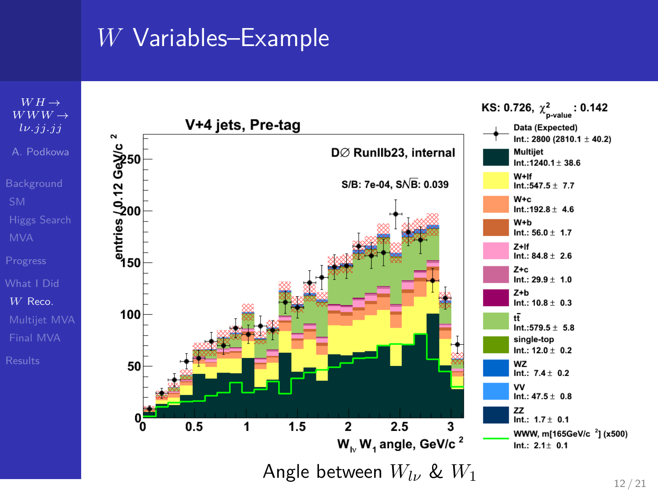## *W* Variables–Example

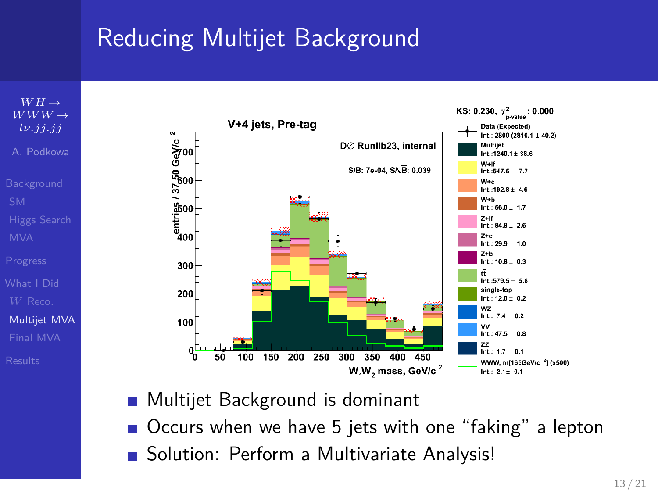# Reducing Multijet Background





- Multijet Background is dominant
- Occurs when we have 5 jets with one "faking" a lepton
- <span id="page-13-0"></span>■ Solution: Perform a Multivariate Analysis!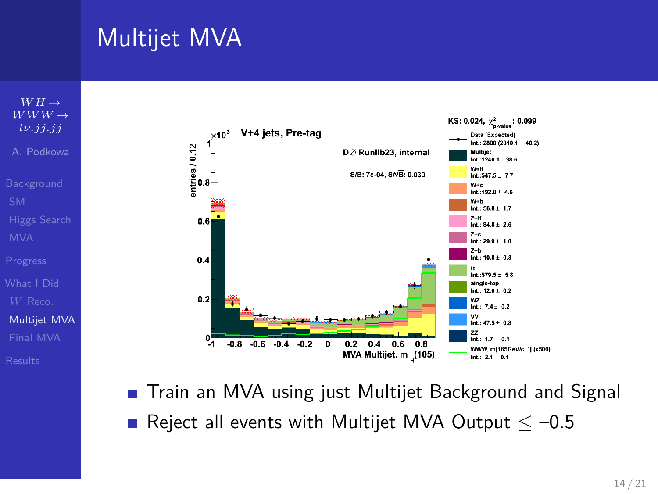# Multijet MVA



**T** Train an MVA using just Multijet Background and Signal Reject all events with Multijet MVA Output  $\leq -0.5$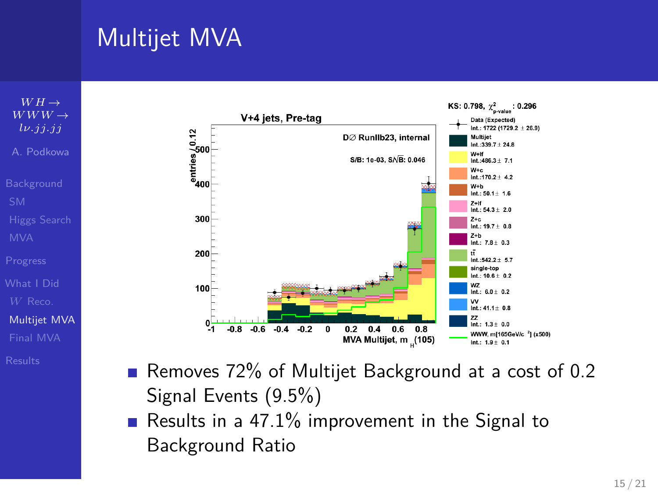# Multijet MVA





- Removes 72% of Multijet Background at a cost of 0.2 Signal Events (9.5%)
- Results in a 47.1% improvement in the Signal to Background Ratio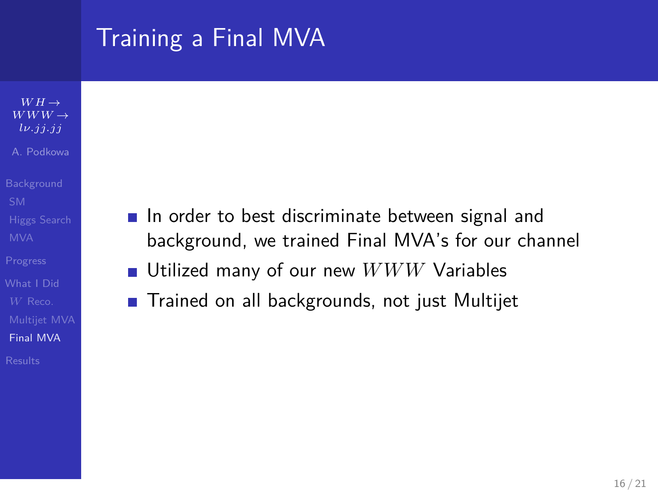# Training a Final MVA

- $WH \rightarrow$  $WWW \rightarrow$ *[lν.jj.jj](#page-0-0)* A. Podkowa
- 
- 
- 
- 
- 
- 
- [Final MVA](#page-16-0)
- 
- In order to best discriminate between signal and background, we trained Final MVA's for our channel
- $\mathcal{L}_{\mathcal{A}}$ Utilized many of our new *WWW* Variables
- <span id="page-16-0"></span>**Trained on all backgrounds, not just Multijet**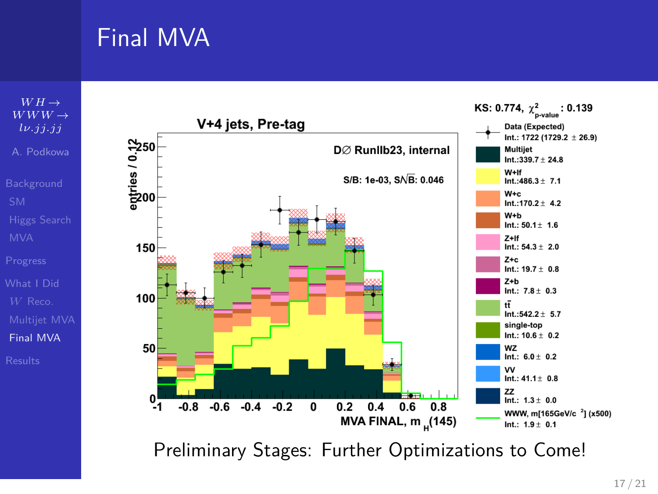# Final MVA



Preliminary Stages: Further Optimizations to Come!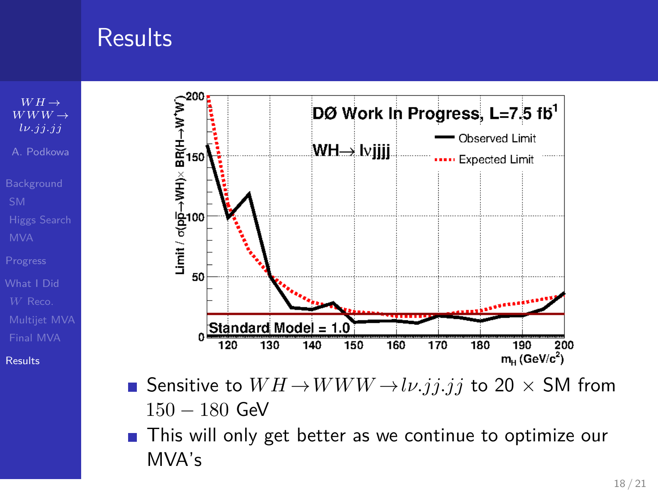## **Results**



[Results](#page-18-0)



- Sensitive to  $WH \rightarrow WWW \rightarrow l\nu$ .*j<sub>1</sub>.j<sub>1</sub>* to 20  $\times$  SM from 150 − 180 GeV
- <span id="page-18-0"></span>**This will only get better as we continue to optimize our** MVA's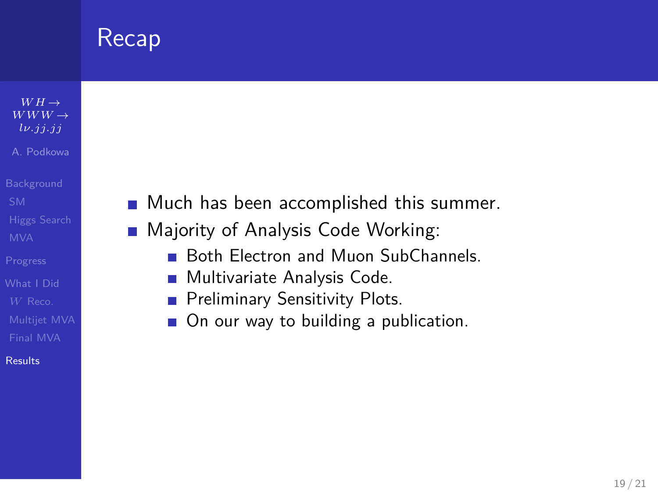# Recap

- $WH \rightarrow$  $WWW \rightarrow$ *[lν.jj.jj](#page-0-0)* A. Podkowa
- 
- 
- 
- 
- [Final MVA](#page-16-0)
- [Results](#page-18-0)
- Much has been accomplished this summer.  $\mathcal{L}_{\mathcal{A}}$
- Majority of Analysis Code Working:  $\sim$ 
	- Both Electron and Muon SubChannels.  $\blacksquare$
	- **Multivariate Analysis Code.**
	- Preliminary Sensitivity Plots. ×
	- On our way to building a publication.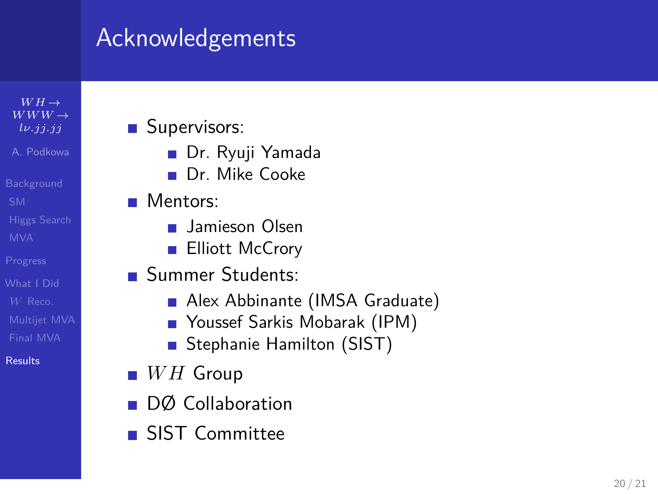# Acknowledgements

 $WH \rightarrow$  $WWW \rightarrow$ *[lν.jj.jj](#page-0-0)* A. Podkowa

[Final MVA](#page-16-0) [Results](#page-18-0)

- **Supervisors:** 
	- Dr. Ryuji Yamada
	- Dr. Mike Cooke
- **Mentors:** 
	- **Jamieson Olsen**
	- **Elliott McCrory**
- **Summer Students:** 
	- Alex Abbinante (IMSA Graduate)
	- Youssef Sarkis Mobarak (IPM)
	- Stephanie Hamilton (SIST)
- $WH$  Group
- DØ Collaboration
- SIST Committee